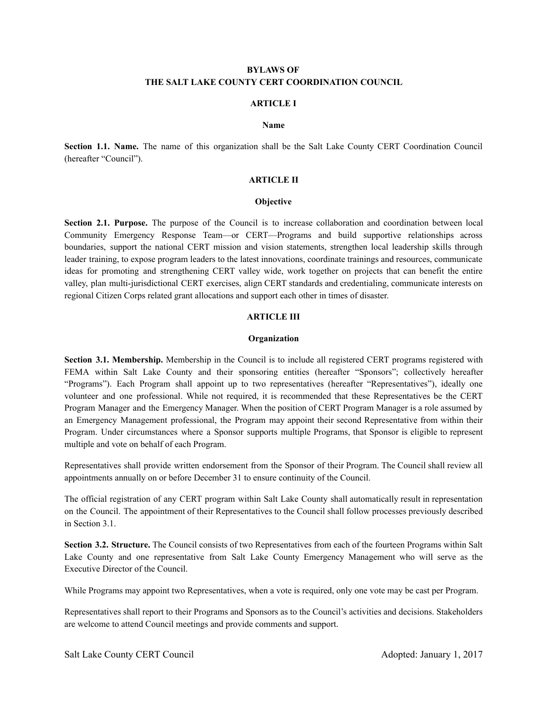# BYLAWS OF THE SALT LAKE COUNTY CERT COORDINATION COUNCIL

#### ARTICLE I

#### Name

Section 1.1. Name. The name of this organization shall be the Salt Lake County CERT Coordination Council (hereafter "Council").

#### ARTICLE II

#### **Objective**

Section 2.1. Purpose. The purpose of the Council is to increase collaboration and coordination between local Community Emergency Response Team—or CERT—Programs and build supportive relationships across boundaries, support the national CERT mission and vision statements, strengthen local leadership skills through leader training, to expose program leaders to the latest innovations, coordinate trainings and resources, communicate ideas for promoting and strengthening CERT valley wide, work together on projects that can benefit the entire valley, plan multi-jurisdictional CERT exercises, align CERT standards and credentialing, communicate interests on regional Citizen Corps related grant allocations and support each other in times of disaster.

### ARTICLE III

### **Organization**

Section 3.1. Membership. Membership in the Council is to include all registered CERT programs registered with FEMA within Salt Lake County and their sponsoring entities (hereafter "Sponsors"; collectively hereafter "Programs"). Each Program shall appoint up to two representatives (hereafter "Representatives"), ideally one volunteer and one professional. While not required, it is recommended that these Representatives be the CERT Program Manager and the Emergency Manager. When the position of CERT Program Manager is a role assumed by an Emergency Management professional, the Program may appoint their second Representative from within their Program. Under circumstances where a Sponsor supports multiple Programs, that Sponsor is eligible to represent multiple and vote on behalf of each Program.

Representatives shall provide written endorsement from the Sponsor of their Program. The Council shall review all appointments annually on or before December 31 to ensure continuity of the Council.

The official registration of any CERT program within Salt Lake County shall automatically result in representation on the Council. The appointment of their Representatives to the Council shall follow processes previously described in Section 3.1.

Section 3.2. Structure. The Council consists of two Representatives from each of the fourteen Programs within Salt Lake County and one representative from Salt Lake County Emergency Management who will serve as the Executive Director of the Council.

While Programs may appoint two Representatives, when a vote is required, only one vote may be cast per Program.

Representatives shall report to their Programs and Sponsors as to the Council's activities and decisions. Stakeholders are welcome to attend Council meetings and provide comments and support.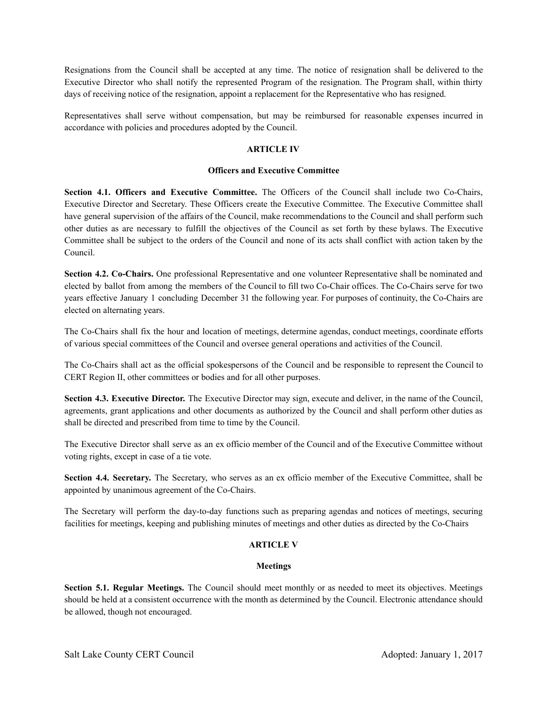Resignations from the Council shall be accepted at any time. The notice of resignation shall be delivered to the Executive Director who shall notify the represented Program of the resignation. The Program shall, within thirty days of receiving notice of the resignation, appoint a replacement for the Representative who has resigned.

Representatives shall serve without compensation, but may be reimbursed for reasonable expenses incurred in accordance with policies and procedures adopted by the Council.

# ARTICLE IV

## Officers and Executive Committee

Section 4.1. Officers and Executive Committee. The Officers of the Council shall include two Co-Chairs, Executive Director and Secretary. These Officers create the Executive Committee. The Executive Committee shall have general supervision of the affairs of the Council, make recommendations to the Council and shall perform such other duties as are necessary to fulfill the objectives of the Council as set forth by these bylaws. The Executive Committee shall be subject to the orders of the Council and none of its acts shall conflict with action taken by the Council.

Section 4.2. Co-Chairs. One professional Representative and one volunteer Representative shall be nominated and elected by ballot from among the members of the Council to fill two Co-Chair offices. The Co-Chairs serve for two years effective January 1 concluding December 31 the following year. For purposes of continuity, the Co-Chairs are elected on alternating years.

The Co-Chairs shall fix the hour and location of meetings, determine agendas, conduct meetings, coordinate efforts of various special committees of the Council and oversee general operations and activities of the Council.

The Co-Chairs shall act as the official spokespersons of the Council and be responsible to represent the Council to CERT Region II, other committees or bodies and for all other purposes.

Section 4.3. Executive Director. The Executive Director may sign, execute and deliver, in the name of the Council, agreements, grant applications and other documents as authorized by the Council and shall perform other duties as shall be directed and prescribed from time to time by the Council.

The Executive Director shall serve as an ex officio member of the Council and of the Executive Committee without voting rights, except in case of a tie vote.

Section 4.4. Secretary. The Secretary, who serves as an ex officio member of the Executive Committee, shall be appointed by unanimous agreement of the Co-Chairs.

The Secretary will perform the day-to-day functions such as preparing agendas and notices of meetings, securing facilities for meetings, keeping and publishing minutes of meetings and other duties as directed by the Co-Chairs

## ARTICLE V

## Meetings

Section 5.1. Regular Meetings. The Council should meet monthly or as needed to meet its objectives. Meetings should be held at a consistent occurrence with the month as determined by the Council. Electronic attendance should be allowed, though not encouraged.